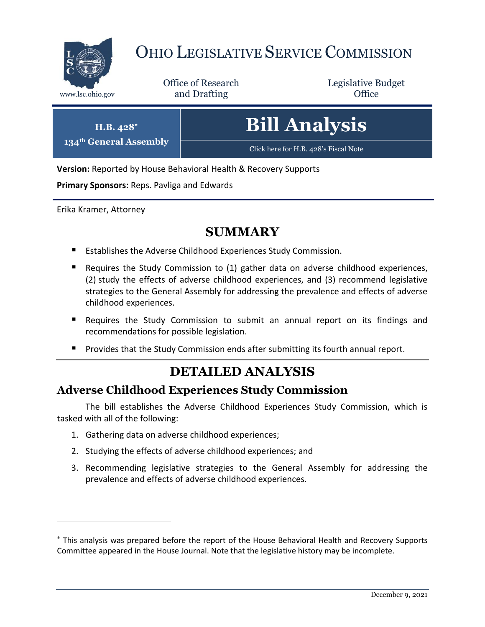

**134th General Assembly**

 $\overline{a}$ 

# OHIO LEGISLATIVE SERVICE COMMISSION

Office of Research www.lsc.ohio.gov **and Drafting Office** 

Legislative Budget

| $H.B. 428$ *<br><sup>th</sup> General Assembly | <b>Bill Analysis</b>                  |
|------------------------------------------------|---------------------------------------|
|                                                | Click here for H.B. 428's Fiscal Note |

**Version:** Reported by House Behavioral Health & Recovery Supports

**Primary Sponsors:** Reps. Pavliga and Edwards

Erika Kramer, Attorney

### **SUMMARY**

- Establishes the Adverse Childhood Experiences Study Commission.
- Requires the Study Commission to (1) gather data on adverse childhood experiences, (2) study the effects of adverse childhood experiences, and (3) recommend legislative strategies to the General Assembly for addressing the prevalence and effects of adverse childhood experiences.
- Requires the Study Commission to submit an annual report on its findings and recommendations for possible legislation.
- Provides that the Study Commission ends after submitting its fourth annual report.

## **DETAILED ANALYSIS**

#### **Adverse Childhood Experiences Study Commission**

The bill establishes the Adverse Childhood Experiences Study Commission, which is tasked with all of the following:

- 1. Gathering data on adverse childhood experiences;
- 2. Studying the effects of adverse childhood experiences; and
- 3. Recommending legislative strategies to the General Assembly for addressing the prevalence and effects of adverse childhood experiences.

This analysis was prepared before the report of the House Behavioral Health and Recovery Supports Committee appeared in the House Journal. Note that the legislative history may be incomplete.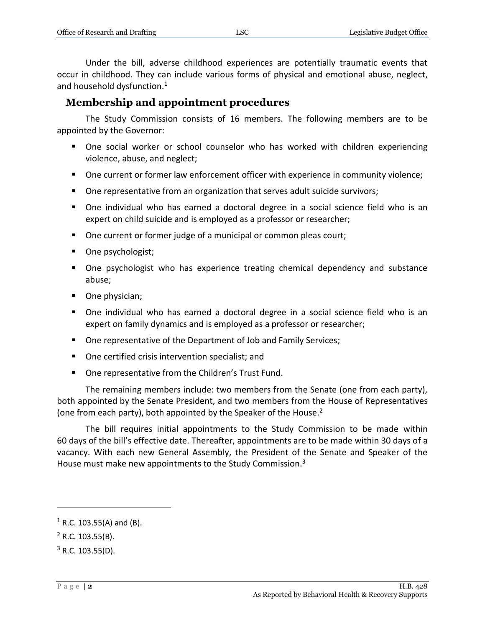Under the bill, adverse childhood experiences are potentially traumatic events that occur in childhood. They can include various forms of physical and emotional abuse, neglect, and household dysfunction.<sup>1</sup>

#### **Membership and appointment procedures**

The Study Commission consists of 16 members. The following members are to be appointed by the Governor:

- One social worker or school counselor who has worked with children experiencing violence, abuse, and neglect;
- **Dimember 1** One current or former law enforcement officer with experience in community violence;
- One representative from an organization that serves adult suicide survivors;
- One individual who has earned a doctoral degree in a social science field who is an expert on child suicide and is employed as a professor or researcher;
- One current or former judge of a municipal or common pleas court;
- One psychologist;
- One psychologist who has experience treating chemical dependency and substance abuse;
- One physician;
- One individual who has earned a doctoral degree in a social science field who is an expert on family dynamics and is employed as a professor or researcher;
- One representative of the Department of Job and Family Services;
- One certified crisis intervention specialist; and
- One representative from the Children's Trust Fund.

The remaining members include: two members from the Senate (one from each party), both appointed by the Senate President, and two members from the House of Representatives (one from each party), both appointed by the Speaker of the House.<sup>2</sup>

The bill requires initial appointments to the Study Commission to be made within 60 days of the bill's effective date. Thereafter, appointments are to be made within 30 days of a vacancy. With each new General Assembly, the President of the Senate and Speaker of the House must make new appointments to the Study Commission.<sup>3</sup>

 $\overline{a}$ 

 $1$  R.C. 103.55(A) and (B).

 $^{2}$  R.C. 103.55(B).

 $3$  R.C. 103.55(D).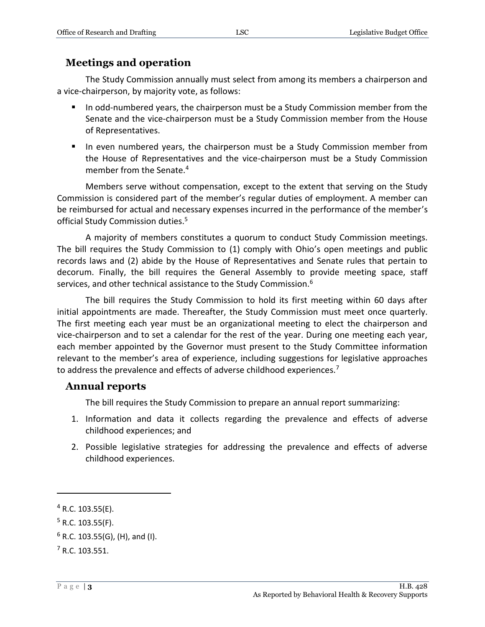#### **Meetings and operation**

The Study Commission annually must select from among its members a chairperson and a vice-chairperson, by majority vote, as follows:

- In odd-numbered years, the chairperson must be a Study Commission member from the Senate and the vice-chairperson must be a Study Commission member from the House of Representatives.
- **IF** In even numbered years, the chairperson must be a Study Commission member from the House of Representatives and the vice-chairperson must be a Study Commission member from the Senate.<sup>4</sup>

Members serve without compensation, except to the extent that serving on the Study Commission is considered part of the member's regular duties of employment. A member can be reimbursed for actual and necessary expenses incurred in the performance of the member's official Study Commission duties.<sup>5</sup>

A majority of members constitutes a quorum to conduct Study Commission meetings. The bill requires the Study Commission to (1) comply with Ohio's open meetings and public records laws and (2) abide by the House of Representatives and Senate rules that pertain to decorum. Finally, the bill requires the General Assembly to provide meeting space, staff services, and other technical assistance to the Study Commission.<sup>6</sup>

The bill requires the Study Commission to hold its first meeting within 60 days after initial appointments are made. Thereafter, the Study Commission must meet once quarterly. The first meeting each year must be an organizational meeting to elect the chairperson and vice-chairperson and to set a calendar for the rest of the year. During one meeting each year, each member appointed by the Governor must present to the Study Committee information relevant to the member's area of experience, including suggestions for legislative approaches to address the prevalence and effects of adverse childhood experiences.<sup>7</sup>

#### **Annual reports**

The bill requires the Study Commission to prepare an annual report summarizing:

- 1. Information and data it collects regarding the prevalence and effects of adverse childhood experiences; and
- 2. Possible legislative strategies for addressing the prevalence and effects of adverse childhood experiences.

 $\overline{a}$ 

 $4$  R.C. 103.55(E).

 $5$  R.C. 103.55(F).

 $6$  R.C. 103.55(G), (H), and (I).

 $7 R.C. 103.551.$